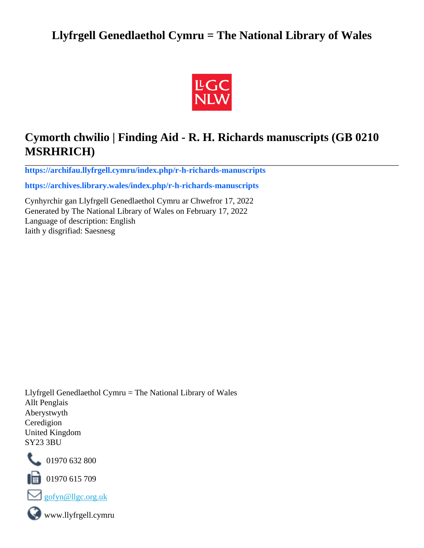## **Llyfrgell Genedlaethol Cymru = The National Library of Wales**



# **Cymorth chwilio | Finding Aid - R. H. Richards manuscripts (GB 0210 MSRHRICH)**

**[https://archifau.llyfrgell.cymru/index.php/r-h-richards-manuscripts](https://archifau.llyfrgell.cymru/index.php/r-h-richards-manuscripts;isad?sf_culture=cy)**

**[https://archives.library.wales/index.php/r-h-richards-manuscripts](https://archives.library.wales/index.php/r-h-richards-manuscripts;isad?sf_culture=en)**

Cynhyrchir gan Llyfrgell Genedlaethol Cymru ar Chwefror 17, 2022 Generated by The National Library of Wales on February 17, 2022 Language of description: English Iaith y disgrifiad: Saesnesg

Llyfrgell Genedlaethol Cymru = The National Library of Wales Allt Penglais Aberystwyth Ceredigion United Kingdom SY23 3BU



101970 632 800

 $\blacksquare$  01970 615 709



www.llyfrgell.cymru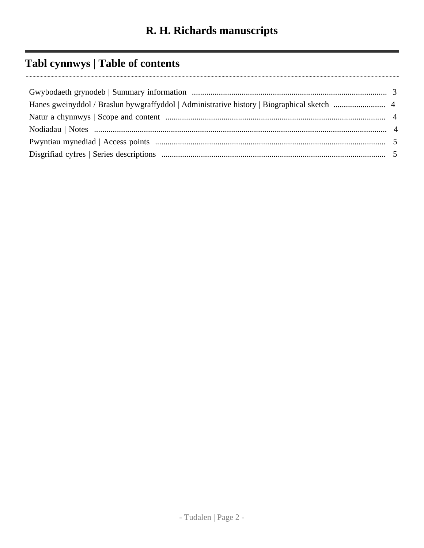# **Tabl cynnwys | Table of contents**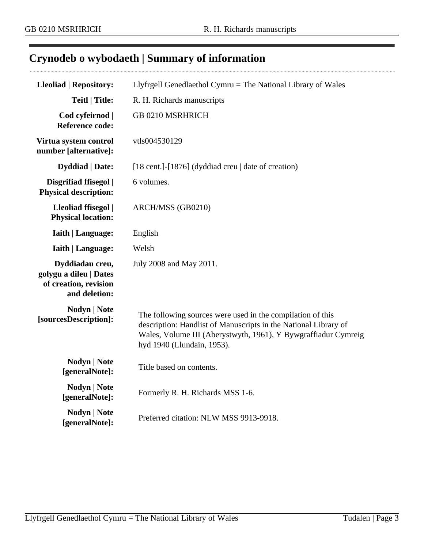## <span id="page-2-0"></span>**Crynodeb o wybodaeth | Summary of information**

| <b>Lleoliad   Repository:</b>                                                       | Llyfrgell Genedlaethol Cymru = The National Library of Wales                                                                                                                                                                  |
|-------------------------------------------------------------------------------------|-------------------------------------------------------------------------------------------------------------------------------------------------------------------------------------------------------------------------------|
| <b>Teitl   Title:</b>                                                               | R. H. Richards manuscripts                                                                                                                                                                                                    |
| Cod cyfeirnod  <br><b>Reference code:</b>                                           | GB 0210 MSRHRICH                                                                                                                                                                                                              |
| Virtua system control<br>number [alternative]:                                      | vtls004530129                                                                                                                                                                                                                 |
| <b>Dyddiad</b>   Date:                                                              | [18 cent.]-[1876] (dyddiad creu   date of creation)                                                                                                                                                                           |
| Disgrifiad ffisegol  <br><b>Physical description:</b>                               | 6 volumes.                                                                                                                                                                                                                    |
| Lleoliad ffisegol  <br><b>Physical location:</b>                                    | ARCH/MSS (GB0210)                                                                                                                                                                                                             |
| Iaith   Language:                                                                   | English                                                                                                                                                                                                                       |
| <b>Iaith   Language:</b>                                                            | Welsh                                                                                                                                                                                                                         |
| Dyddiadau creu,<br>golygu a dileu   Dates<br>of creation, revision<br>and deletion: | July 2008 and May 2011.                                                                                                                                                                                                       |
| <b>Nodyn</b>   <b>Note</b><br>[sourcesDescription]:                                 | The following sources were used in the compilation of this<br>description: Handlist of Manuscripts in the National Library of<br>Wales, Volume III (Aberystwyth, 1961), Y Bywgraffiadur Cymreig<br>hyd 1940 (Llundain, 1953). |
| <b>Nodyn</b>   <b>Note</b><br>[generalNote]:                                        | Title based on contents.                                                                                                                                                                                                      |
| <b>Nodyn</b>   <b>Note</b><br>[generalNote]:                                        | Formerly R. H. Richards MSS 1-6.                                                                                                                                                                                              |
| <b>Nodyn</b>   Note<br>[generalNote]:                                               | Preferred citation: NLW MSS 9913-9918.                                                                                                                                                                                        |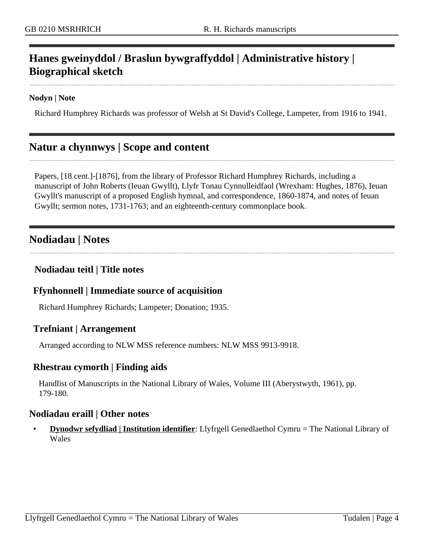### <span id="page-3-0"></span>**Hanes gweinyddol / Braslun bywgraffyddol | Administrative history | Biographical sketch**

#### **Nodyn | Note**

Richard Humphrey Richards was professor of Welsh at St David's College, Lampeter, from 1916 to 1941.

### <span id="page-3-1"></span>**Natur a chynnwys | Scope and content**

Papers, [18 cent.]-[1876], from the library of Professor Richard Humphrey Richards, including a manuscript of John Roberts (Ieuan Gwyllt), Llyfr Tonau Cynnulleidfaol (Wrexham: Hughes, 1876), Ieuan Gwyllt's manuscript of a proposed English hymnal, and correspondence, 1860-1874, and notes of Ieuan Gwyllt; sermon notes, 1731-1763; and an eighteenth-century commonplace book.

### <span id="page-3-2"></span>**Nodiadau | Notes**

#### **Nodiadau teitl | Title notes**

#### **Ffynhonnell | Immediate source of acquisition**

Richard Humphrey Richards; Lampeter; Donation; 1935.

#### **Trefniant | Arrangement**

Arranged according to NLW MSS reference numbers: NLW MSS 9913-9918.

#### **Rhestrau cymorth | Finding aids**

Handlist of Manuscripts in the National Library of Wales, Volume III (Aberystwyth, 1961), pp. 179-180.

#### **Nodiadau eraill | Other notes**

• **Dynodwr sefydliad | Institution identifier**: Llyfrgell Genedlaethol Cymru = The National Library of Wales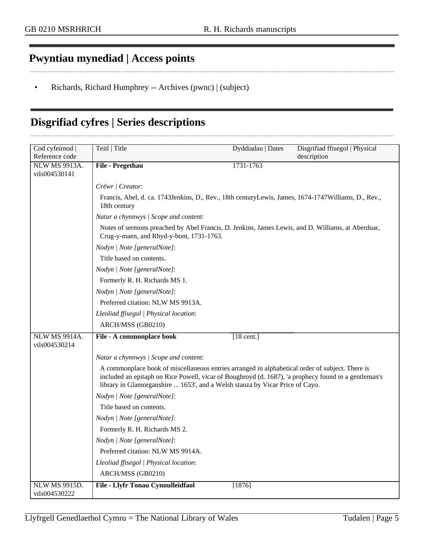### <span id="page-4-0"></span>**Pwyntiau mynediad | Access points**

• Richards, Richard Humphrey -- Archives (pwnc) | (subject)

### <span id="page-4-1"></span>**Disgrifiad cyfres | Series descriptions**

| Cod cyfeirnod                         | Teitl   Title                                                                                                                                                                                                                                                                           | Dyddiadau   Dates | Disgrifiad ffisegol   Physical |
|---------------------------------------|-----------------------------------------------------------------------------------------------------------------------------------------------------------------------------------------------------------------------------------------------------------------------------------------|-------------------|--------------------------------|
| Reference code                        |                                                                                                                                                                                                                                                                                         |                   | description                    |
| <b>NLW MS 9913A.</b>                  | File - Pregethau                                                                                                                                                                                                                                                                        | 1731-1763         |                                |
| vtls004530141                         |                                                                                                                                                                                                                                                                                         |                   |                                |
|                                       | Crëwr   Creator:                                                                                                                                                                                                                                                                        |                   |                                |
|                                       | Francis, Abel, d. ca. 1743 Jenkins, D., Rev., 18th century Lewis, James, 1674-1747 Williams, D., Rev.,<br>18th century                                                                                                                                                                  |                   |                                |
|                                       | Natur a chynnwys / Scope and content:                                                                                                                                                                                                                                                   |                   |                                |
|                                       | Notes of sermons preached by Abel Francis, D. Jenkins, James Lewis, and D. Williams, at Aberduar,<br>Crug-y-maen, and Rhyd-y-bont, 1731-1763.                                                                                                                                           |                   |                                |
|                                       | Nodyn   Note [generalNote]:                                                                                                                                                                                                                                                             |                   |                                |
|                                       | Title based on contents.                                                                                                                                                                                                                                                                |                   |                                |
|                                       | Nodyn   Note [generalNote]:                                                                                                                                                                                                                                                             |                   |                                |
|                                       | Formerly R. H. Richards MS 1.                                                                                                                                                                                                                                                           |                   |                                |
|                                       | Nodyn   Note [generalNote]:                                                                                                                                                                                                                                                             |                   |                                |
|                                       | Preferred citation: NLW MS 9913A.                                                                                                                                                                                                                                                       |                   |                                |
|                                       | Lleoliad ffisegol   Physical location:                                                                                                                                                                                                                                                  |                   |                                |
|                                       | ARCH/MSS (GB0210)                                                                                                                                                                                                                                                                       |                   |                                |
| <b>NLW MS 9914A.</b><br>vtls004530214 | File - A commonplace book                                                                                                                                                                                                                                                               | $[18$ cent.]      |                                |
|                                       | Natur a chynnwys / Scope and content:                                                                                                                                                                                                                                                   |                   |                                |
|                                       | A commonplace book of miscellaneous entries arranged in alphabetical order of subject. There is<br>included an epitaph on Rice Powell, vicar of Boughroyd (d. 1687), 'a prophecy found in a gentleman's<br>library in Glamorganshire  1653', and a Welsh stanza by Vicar Price of Cayo. |                   |                                |
|                                       | Nodyn   Note [generalNote]:                                                                                                                                                                                                                                                             |                   |                                |
|                                       | Title based on contents.                                                                                                                                                                                                                                                                |                   |                                |
|                                       | Nodyn   Note [generalNote]:                                                                                                                                                                                                                                                             |                   |                                |
|                                       | Formerly R. H. Richards MS 2.                                                                                                                                                                                                                                                           |                   |                                |
|                                       | Nodyn   Note [generalNote]:                                                                                                                                                                                                                                                             |                   |                                |
|                                       | Preferred citation: NLW MS 9914A.                                                                                                                                                                                                                                                       |                   |                                |
|                                       | Lleoliad ffisegol   Physical location:                                                                                                                                                                                                                                                  |                   |                                |
|                                       | ARCH/MSS (GB0210)                                                                                                                                                                                                                                                                       |                   |                                |
| <b>NLW MS 9915D.</b><br>vtls004530222 | File - Llyfr Tonau Cynnulleidfaol                                                                                                                                                                                                                                                       | [1876]            |                                |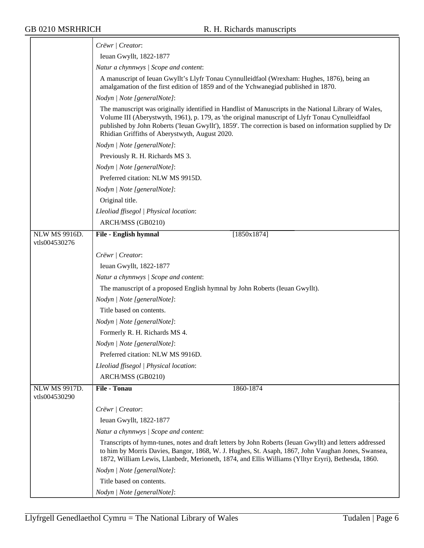|                                | Crëwr   Creator:                                                                                                                                                                                                                                                                                                                                                        |
|--------------------------------|-------------------------------------------------------------------------------------------------------------------------------------------------------------------------------------------------------------------------------------------------------------------------------------------------------------------------------------------------------------------------|
|                                | Ieuan Gwyllt, 1822-1877                                                                                                                                                                                                                                                                                                                                                 |
|                                | Natur a chynnwys / Scope and content:                                                                                                                                                                                                                                                                                                                                   |
|                                | A manuscript of Ieuan Gwyllt's Llyfr Tonau Cynnulleidfaol (Wrexham: Hughes, 1876), being an<br>amalgamation of the first edition of 1859 and of the Ychwanegiad published in 1870.                                                                                                                                                                                      |
|                                | Nodyn   Note [generalNote]:                                                                                                                                                                                                                                                                                                                                             |
|                                | The manuscript was originally identified in Handlist of Manuscripts in the National Library of Wales,<br>Volume III (Aberystwyth, 1961), p. 179, as 'the original manuscript of Llyfr Tonau Cynulleidfaol<br>published by John Roberts ('Ieuan Gwyllt'), 1859'. The correction is based on information supplied by Dr<br>Rhidian Griffiths of Aberystwyth, August 2020. |
|                                | Nodyn   Note [generalNote]:                                                                                                                                                                                                                                                                                                                                             |
|                                | Previously R. H. Richards MS 3.                                                                                                                                                                                                                                                                                                                                         |
|                                | Nodyn   Note [generalNote]:                                                                                                                                                                                                                                                                                                                                             |
|                                | Preferred citation: NLW MS 9915D.                                                                                                                                                                                                                                                                                                                                       |
|                                | Nodyn   Note [generalNote]:                                                                                                                                                                                                                                                                                                                                             |
|                                | Original title.                                                                                                                                                                                                                                                                                                                                                         |
|                                | Lleoliad ffisegol   Physical location:                                                                                                                                                                                                                                                                                                                                  |
|                                | ARCH/MSS (GB0210)                                                                                                                                                                                                                                                                                                                                                       |
| NLW MS 9916D.<br>vtls004530276 | [1850x1874]<br>File - English hymnal                                                                                                                                                                                                                                                                                                                                    |
|                                | Crëwr   Creator:                                                                                                                                                                                                                                                                                                                                                        |
|                                | Ieuan Gwyllt, 1822-1877                                                                                                                                                                                                                                                                                                                                                 |
|                                | Natur a chynnwys / Scope and content:                                                                                                                                                                                                                                                                                                                                   |
|                                | The manuscript of a proposed English hymnal by John Roberts (Ieuan Gwyllt).                                                                                                                                                                                                                                                                                             |
|                                | Nodyn   Note [generalNote]:                                                                                                                                                                                                                                                                                                                                             |
|                                | Title based on contents.                                                                                                                                                                                                                                                                                                                                                |
|                                | Nodyn   Note [generalNote]:                                                                                                                                                                                                                                                                                                                                             |
|                                | Formerly R. H. Richards MS 4.                                                                                                                                                                                                                                                                                                                                           |
|                                | Nodyn   Note [generalNote]:                                                                                                                                                                                                                                                                                                                                             |
|                                | Preferred citation: NLW MS 9916D.                                                                                                                                                                                                                                                                                                                                       |
|                                | Lleoliad ffisegol   Physical location:                                                                                                                                                                                                                                                                                                                                  |
|                                | ARCH/MSS (GB0210)                                                                                                                                                                                                                                                                                                                                                       |
| NLW MS 9917D.<br>vtls004530290 | <b>File - Tonau</b><br>1860-1874                                                                                                                                                                                                                                                                                                                                        |
|                                | Crëwr   Creator:                                                                                                                                                                                                                                                                                                                                                        |
|                                | Ieuan Gwyllt, 1822-1877                                                                                                                                                                                                                                                                                                                                                 |
|                                | Natur a chynnwys / Scope and content:                                                                                                                                                                                                                                                                                                                                   |
|                                | Transcripts of hymn-tunes, notes and draft letters by John Roberts (Ieuan Gwyllt) and letters addressed<br>to him by Morris Davies, Bangor, 1868, W. J. Hughes, St. Asaph, 1867, John Vaughan Jones, Swansea,<br>1872, William Lewis, Llanbedr, Merioneth, 1874, and Ellis Williams (Ylltyr Eryri), Bethesda, 1860.                                                     |
|                                | Nodyn   Note [generalNote]:                                                                                                                                                                                                                                                                                                                                             |
|                                | Title based on contents.                                                                                                                                                                                                                                                                                                                                                |
|                                | Nodyn   Note [generalNote]:                                                                                                                                                                                                                                                                                                                                             |